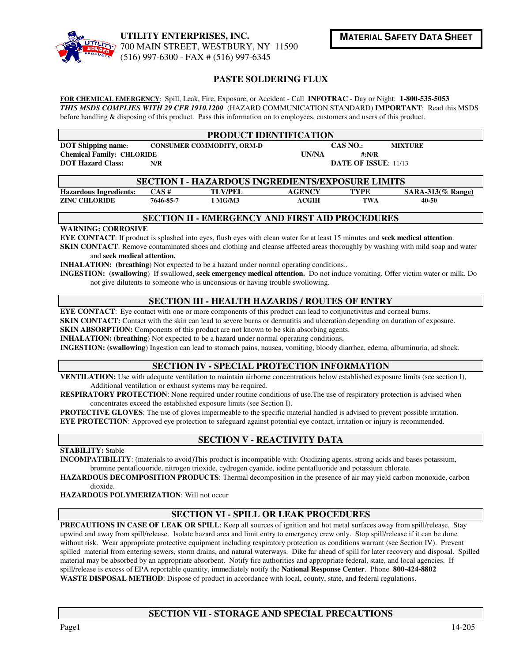

### **PASTE SOLDERING FLUX**

**FOR CHEMICAL EMERGENCY**: Spill, Leak, Fire, Exposure, or Accident - Call **INFOTRAC** - Day or Night: **1-800-535-5053** *THIS MSDS COMPLIES WITH 29 CFR 1910.1200* (HAZARD COMMUNICATION STANDARD) **IMPORTANT**: Read this MSDS before handling & disposing of this product. Pass this information on to employees, customers and users of this product.

| <b>PRODUCT IDENTIFICATION</b>    |                                  |                       |                             |                |  |  |  |  |
|----------------------------------|----------------------------------|-----------------------|-----------------------------|----------------|--|--|--|--|
| <b>DOT</b> Shipping name:        | <b>CONSUMER COMMODITY, ORM-D</b> | CAS NO.:              |                             | <b>MIXTURE</b> |  |  |  |  |
| <b>Chemical Family: CHLORIDE</b> |                                  | <b>UN/NA</b><br>#:N/R |                             |                |  |  |  |  |
| <b>DOT Hazard Class:</b>         | N/R                              |                       | <b>DATE OF ISSUE: 11/13</b> |                |  |  |  |  |

| <b>SECTION I - HAZARDOUS INGREDIENTS/EXPOSURE LIMITS</b> |           |                |               |             |                      |  |  |
|----------------------------------------------------------|-----------|----------------|---------------|-------------|----------------------|--|--|
| <b>Hazardous Ingredients:</b>                            | CAS#      | <b>TLV/PEL</b> | <b>AGENCY</b> | <b>TYPE</b> | $SARA-313(\%$ Range) |  |  |
| <b>ZINC CHLORIDE</b>                                     | 7646-85-7 | MG/M3          | ACGIH         | <b>TWA</b>  | 40-50                |  |  |

#### **SECTION II - EMERGENCY AND FIRST AID PROCEDURES**

#### **WARNING: CORROSIVE**

**EYE CONTACT**: If product is splashed into eyes, flush eyes with clean water for at least 15 minutes and **seek medical attention**. **SKIN CONTACT**: Remove contaminated shoes and clothing and cleanse affected areas thoroughly by washing with mild soap and water

#### and **seek medical attention.**

**INHALATION:** (breathing) Not expected to be a hazard under normal operating conditions..

**INGESTION:** (**swallowing**) If swallowed, **seek emergency medical attention.** Do not induce vomiting. Offer victim water or milk. Do not give dilutents to someone who is unconsious or having trouble swollowing.

## **SECTION III - HEALTH HAZARDS / ROUTES OF ENTRY**

**EYE CONTACT**: Eye contact with one or more components of this product can lead to conjunctivitus and corneal burns.

**SKIN CONTACT:** Contact with the skin can lead to severe burns or dermatitis and ulceration depending on duration of exposure.

**SKIN ABSORPTION:** Components of this product are not known to be skin absorbing agents.

**INHALATION: (breathing**) Not expected to be a hazard under normal operating conditions.

**INGESTION: (swallowing**) Ingestion can lead to stomach pains, nausea, vomiting, bloody diarrhea, edema, albuminuria, ad shock.

#### **SECTION IV - SPECIAL PROTECTION INFORMATION**

**VENTILATION:** Use with adequate ventilation to maintain airborne concentrations below established exposure limits (see section I), Additional ventilation or exhaust systems may be required.

**RESPIRATORY PROTECTION**: None required under routine conditions of use.The use of respiratory protection is advised when concentrates exceed the established exposure limits (see Section I).

**PROTECTIVE GLOVES:** The use of gloves impermeable to the specific material handled is advised to prevent possible irritation. **EYE PROTECTION:** Approved eye protection to safeguard against potential eye contact, irritation or injury is recommended.

## **SECTION V - REACTIVITY DATA**

**STABILITY:** Stable

**INCOMPATIBILITY**: (materials to avoid)This product is incompatible with: Oxidizing agents, strong acids and bases potassium, bromine pentaflouoride, nitrogen trioxide, cydrogen cyanide, iodine pentafluoride and potassium chlorate.

**HAZARDOUS DECOMPOSITION PRODUCTS**: Thermal decomposition in the presence of air may yield carbon monoxide, carbon dioxide.

**HAZARDOUS POLYMERIZATION**: Will not occur

## **SECTION VI - SPILL OR LEAK PROCEDURES**

**PRECAUTIONS IN CASE OF LEAK OR SPILL:** Keep all sources of ignition and hot metal surfaces away from spill/release. Stay upwind and away from spill/release. Isolate hazard area and limit entry to emergency crew only. Stop spill/release if it can be done without risk. Wear appropriate protective equipment including respiratory protection as conditions warrant (see Section IV). Prevent spilled material from entering sewers, storm drains, and natural waterways. Dike far ahead of spill for later recovery and disposal. Spilled material may be absorbed by an appropriate absorbent. Notify fire authorities and appropriate federal, state, and local agencies. If spill/release is excess of EPA reportable quantity, immediately notify the **National Response Center**. Phone **800-424-8802 WASTE DISPOSAL METHOD**: Dispose of product in accordance with local, county, state, and federal regulations.

## **SECTION VII - STORAGE AND SPECIAL PRECAUTIONS**